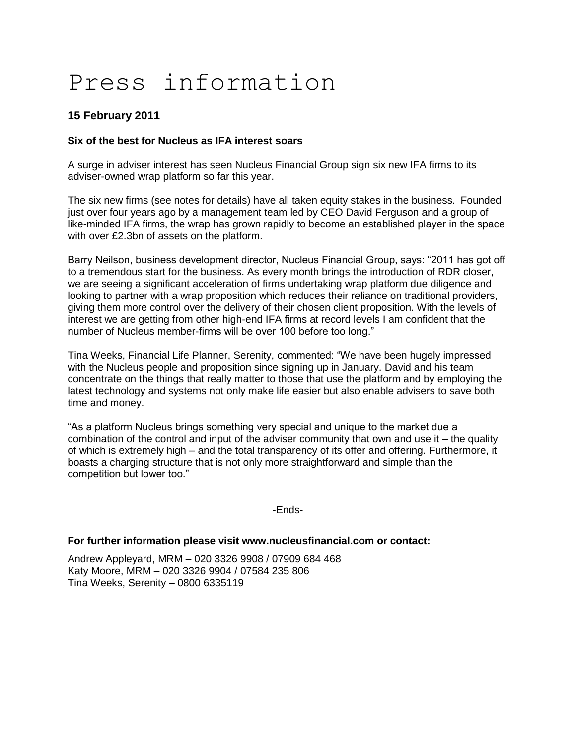# Press information

# **15 February 2011**

# **Six of the best for Nucleus as IFA interest soars**

A surge in adviser interest has seen Nucleus Financial Group sign six new IFA firms to its adviser-owned wrap platform so far this year.

The six new firms (see notes for details) have all taken equity stakes in the business. Founded just over four years ago by a management team led by CEO David Ferguson and a group of like-minded IFA firms, the wrap has grown rapidly to become an established player in the space with over £2.3bn of assets on the platform.

Barry Neilson, business development director, Nucleus Financial Group, says: "2011 has got off to a tremendous start for the business. As every month brings the introduction of RDR closer, we are seeing a significant acceleration of firms undertaking wrap platform due diligence and looking to partner with a wrap proposition which reduces their reliance on traditional providers, giving them more control over the delivery of their chosen client proposition. With the levels of interest we are getting from other high-end IFA firms at record levels I am confident that the number of Nucleus member-firms will be over 100 before too long."

Tina Weeks, Financial Life Planner, Serenity, commented: "We have been hugely impressed with the Nucleus people and proposition since signing up in January. David and his team concentrate on the things that really matter to those that use the platform and by employing the latest technology and systems not only make life easier but also enable advisers to save both time and money.

"As a platform Nucleus brings something very special and unique to the market due a combination of the control and input of the adviser community that own and use it  $-$  the quality of which is extremely high – and the total transparency of its offer and offering. Furthermore, it boasts a charging structure that is not only more straightforward and simple than the competition but lower too."

-Ends-

## **For further information please visit www.nucleusfinancial.com or contact:**

Andrew Appleyard, MRM – 020 3326 9908 / 07909 684 468 Katy Moore, MRM – 020 3326 9904 / 07584 235 806 Tina Weeks, Serenity – 0800 6335119